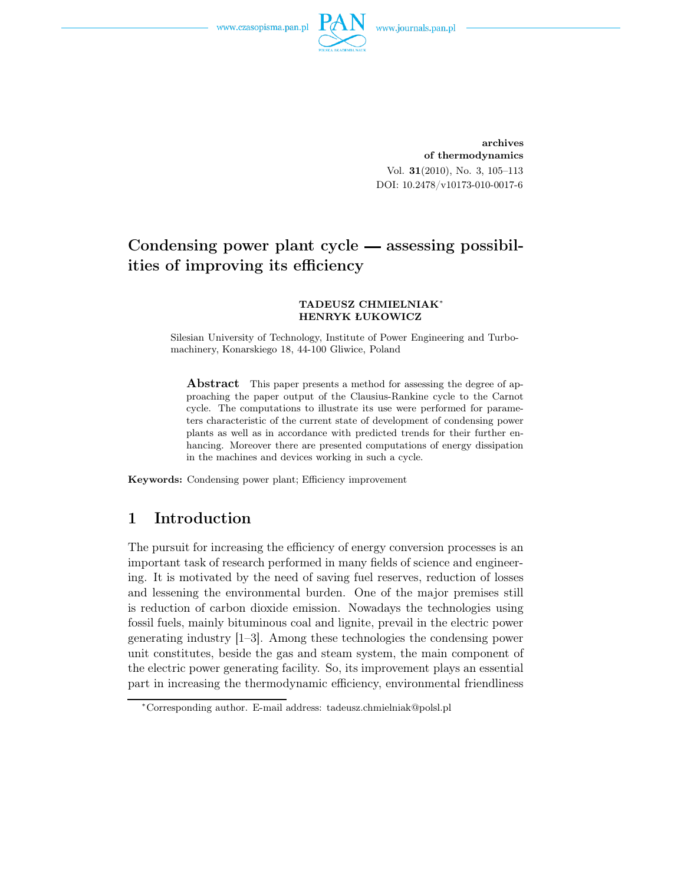www.czasopisma.pan.pl



archives of thermodynamics Vol. 31(2010), No. 3, 105–113 DOI: 10.2478/v10173-010-0017-6

# Condensing power plant cycle — assessing possibilities of improving its efficiency

#### TADEUSZ CHMIELNIAK<sup>∗</sup> HENRYK ŁUKOWICZ

Silesian University of Technology, Institute of Power Engineering and Turbomachinery, Konarskiego 18, 44-100 Gliwice, Poland

Abstract This paper presents a method for assessing the degree of approaching the paper output of the Clausius-Rankine cycle to the Carnot cycle. The computations to illustrate its use were performed for parameters characteristic of the current state of development of condensing power plants as well as in accordance with predicted trends for their further enhancing. Moreover there are presented computations of energy dissipation in the machines and devices working in such a cycle.

Keywords: Condensing power plant; Efficiency improvement

# 1 Introduction

The pursuit for increasing the efficiency of energy conversion processes is an important task of research performed in many fields of science and engineering. It is motivated by the need of saving fuel reserves, reduction of losses and lessening the environmental burden. One of the major premises still is reduction of carbon dioxide emission. Nowadays the technologies using fossil fuels, mainly bituminous coal and lignite, prevail in the electric power generating industry [1–3]. Among these technologies the condensing power unit constitutes, beside the gas and steam system, the main component of the electric power generating facility. So, its improvement plays an essential part in increasing the thermodynamic efficiency, environmental friendliness

<sup>∗</sup>Corresponding author. E-mail address: tadeusz.chmielniak@polsl.pl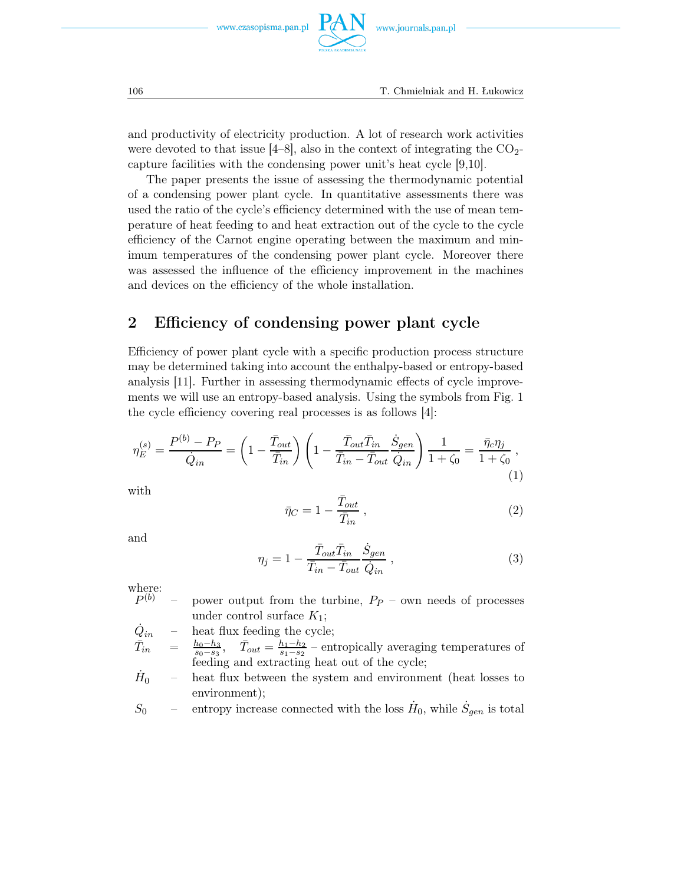

and productivity of electricity production. A lot of research work activities were devoted to that issue  $[4-8]$ , also in the context of integrating the  $CO<sub>2</sub>$ capture facilities with the condensing power unit's heat cycle [9,10].

The paper presents the issue of assessing the thermodynamic potential of a condensing power plant cycle. In quantitative assessments there was used the ratio of the cycle's efficiency determined with the use of mean temperature of heat feeding to and heat extraction out of the cycle to the cycle efficiency of the Carnot engine operating between the maximum and minimum temperatures of the condensing power plant cycle. Moreover there was assessed the influence of the efficiency improvement in the machines and devices on the efficiency of the whole installation.

## 2 Efficiency of condensing power plant cycle

Efficiency of power plant cycle with a specific production process structure may be determined taking into account the enthalpy-based or entropy-based analysis [11]. Further in assessing thermodynamic effects of cycle improvements we will use an entropy-based analysis. Using the symbols from Fig. 1 the cycle efficiency covering real processes is as follows [4]:

$$
\eta_E^{(s)} = \frac{P^{(b)} - P_P}{\dot{Q}_{in}} = \left(1 - \frac{\bar{T}_{out}}{\bar{T}_{in}}\right) \left(1 - \frac{\bar{T}_{out}\bar{T}_{in}}{\bar{T}_{in} - \bar{T}_{out}} \frac{\dot{S}_{gen}}{\dot{Q}_{in}}\right) \frac{1}{1 + \zeta_0} = \frac{\bar{\eta}_c \eta_j}{1 + \zeta_0},\tag{1}
$$

with

$$
\bar{\eta}_C = 1 - \frac{\bar{T}_{out}}{\bar{T}_{in}},\tag{2}
$$

and

$$
\eta_j = 1 - \frac{\bar{T}_{out}\bar{T}_{in}}{\bar{T}_{in} - \bar{T}_{out}} \frac{\dot{S}_{gen}}{\dot{Q}_{in}} ,
$$
\n(3)

where:<br> $P^{(b)}$ 

power output from the turbine,  $P_P$  – own needs of processes under control surface  $K_1$ ;

 $\dot{Q}_{in}$  – heat flux feeding the cycle;

 $\bar{T}_{in}$  $\bar{u}_{in} = \frac{h_0 - h_3}{s_0 - s_3}, \quad \bar{T}_{out} = \frac{h_1 - h_2}{s_1 - s_2}$  – entropically averaging temperatures of feeding and extracting heat out of the cycle;

 $\dot{H}_0$  – heat flux between the system and environment (heat losses to environment);

 $S_0$  – entropy increase connected with the loss  $\dot{H}_0$ , while  $\dot{S}_{gen}$  is total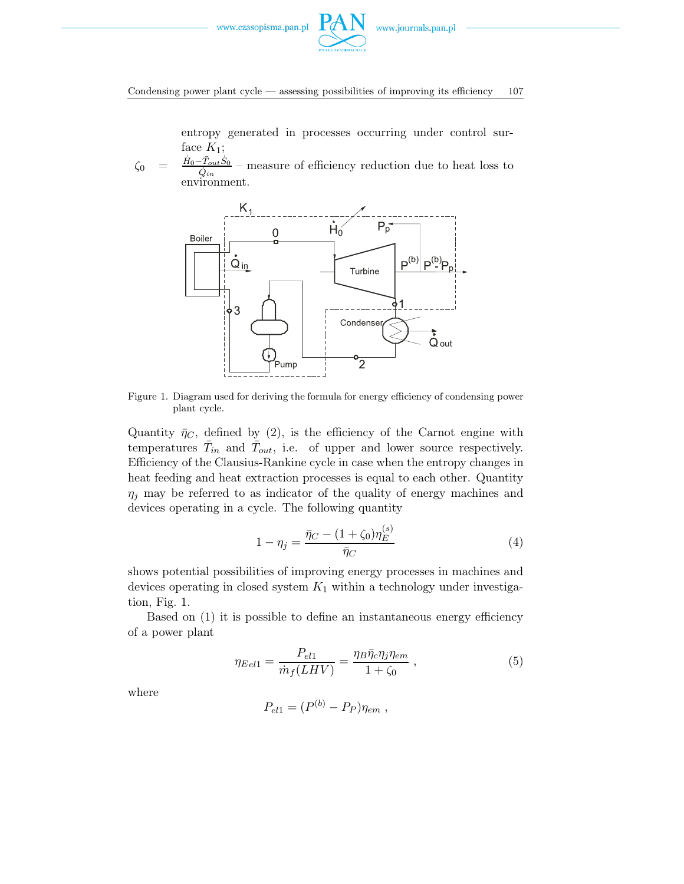

Condensing power plant cycle — assessing possibilities of improving its efficiency 107

entropy generated in processes occurring under control surface  $K_1$ ;

 $\zeta_0$  =  $\frac{\dot{H}_0-\bar{T}_{out}\dot{S}_0}{\dot{Q}_{in}}$ – measure of efficiency reduction due to heat loss to environment.



Figure 1. Diagram used for deriving the formula for energy efficiency of condensing power plant cycle.

Quantity  $\bar{\eta}_C$ , defined by (2), is the efficiency of the Carnot engine with temperatures  $\bar{T}_{in}$  and  $\bar{T}_{out}$ , i.e. of upper and lower source respectively. Efficiency of the Clausius-Rankine cycle in case when the entropy changes in heat feeding and heat extraction processes is equal to each other. Quantity  $\eta_i$  may be referred to as indicator of the quality of energy machines and devices operating in a cycle. The following quantity

$$
1 - \eta_j = \frac{\bar{\eta}_C - (1 + \zeta_0)\eta_E^{(s)}}{\bar{\eta}_C} \tag{4}
$$

shows potential possibilities of improving energy processes in machines and devices operating in closed system  $K_1$  within a technology under investigation, Fig. 1.

Based on (1) it is possible to define an instantaneous energy efficiency of a power plant

$$
\eta_{Eel1} = \frac{P_{el1}}{\dot{m}_f(LHV)} = \frac{\eta_B \bar{\eta}_c \eta_j \eta_{em}}{1 + \zeta_0} \,,\tag{5}
$$

where

$$
P_{el1} = (P^{(b)} - P_P)\eta_{em} ,
$$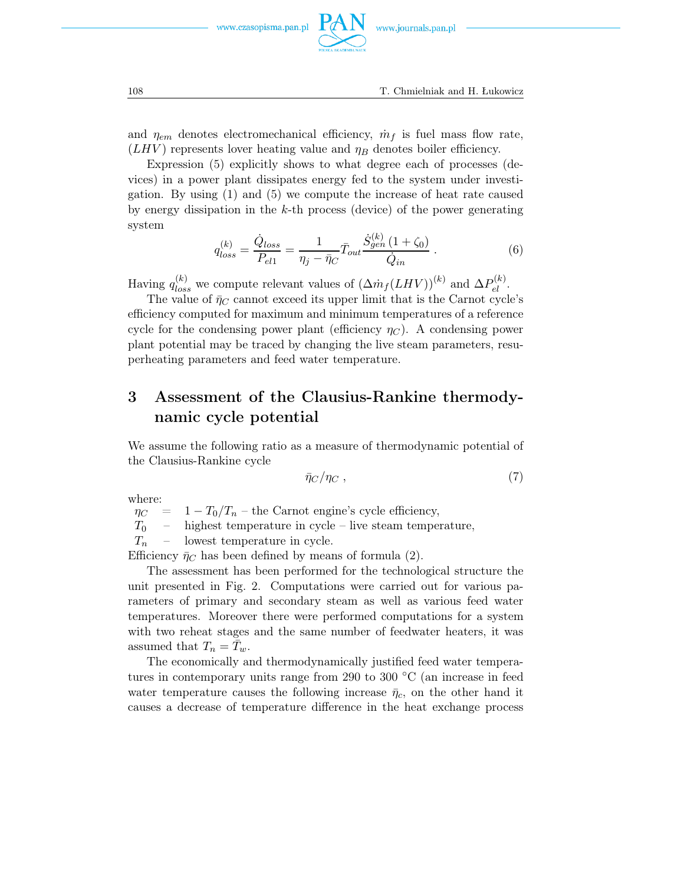

and  $\eta_{em}$  denotes electromechanical efficiency,  $\dot{m}_f$  is fuel mass flow rate,  $(LHV)$  represents lover heating value and  $\eta_B$  denotes boiler efficiency.

Expression (5) explicitly shows to what degree each of processes (devices) in a power plant dissipates energy fed to the system under investigation. By using (1) and (5) we compute the increase of heat rate caused by energy dissipation in the  $k$ -th process (device) of the power generating system

$$
q_{loss}^{(k)} = \frac{\dot{Q}_{loss}}{P_{el1}} = \frac{1}{\eta_j - \bar{\eta}_C} \bar{T}_{out} \frac{\dot{S}_{gen}^{(k)}(1 + \zeta_0)}{\dot{Q}_{in}}.
$$
 (6)

Having  $q_{loss}^{(k)}$  we compute relevant values of  $(\Delta m_f(LHV))^{(k)}$  and  $\Delta P_{el}^{(k)}$ .

The value of  $\bar{\eta}_C$  cannot exceed its upper limit that is the Carnot cycle's efficiency computed for maximum and minimum temperatures of a reference cycle for the condensing power plant (efficiency  $\eta_C$ ). A condensing power plant potential may be traced by changing the live steam parameters, resuperheating parameters and feed water temperature.

# 3 Assessment of the Clausius-Rankine thermodynamic cycle potential

We assume the following ratio as a measure of thermodynamic potential of the Clausius-Rankine cycle

$$
\bar{\eta}_C/\eta_C \,,\tag{7}
$$

where:

 $\eta_C$  = 1 -  $T_0/T_n$  – the Carnot engine's cycle efficiency,<br>  $T_0$  – highest temperature in cycle – live steam tempe

highest temperature in cycle – live steam temperature,

 $T_n$  – lowest temperature in cycle.

Efficiency  $\bar{\eta}_C$  has been defined by means of formula (2).

The assessment has been performed for the technological structure the unit presented in Fig. 2. Computations were carried out for various parameters of primary and secondary steam as well as various feed water temperatures. Moreover there were performed computations for a system with two reheat stages and the same number of feedwater heaters, it was assumed that  $T_n = \overline{T}_w$ .

The economically and thermodynamically justified feed water temperatures in contemporary units range from 290 to 300 ◦C (an increase in feed water temperature causes the following increase  $\bar{\eta}_c$ , on the other hand it causes a decrease of temperature difference in the heat exchange process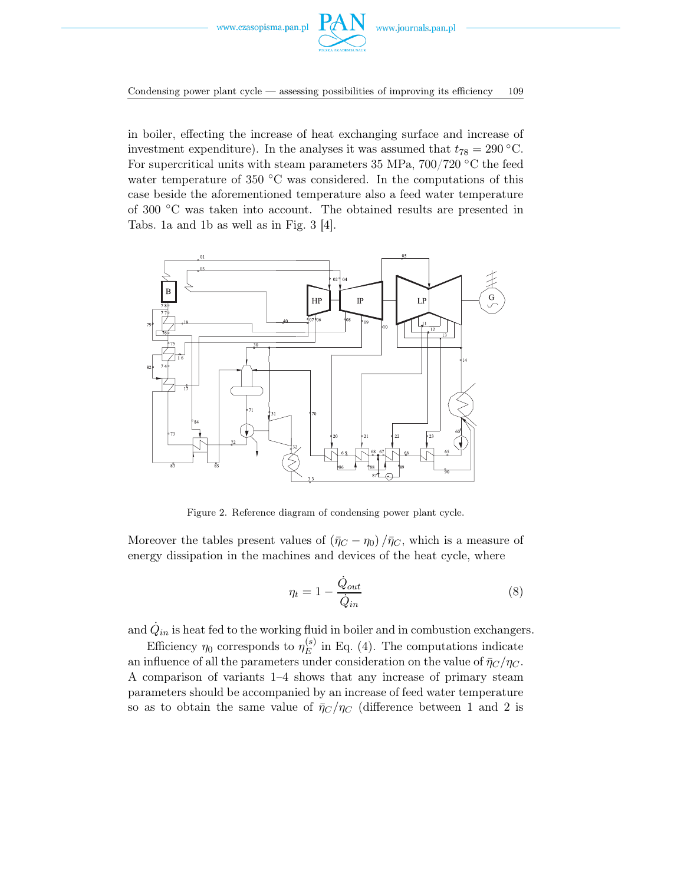

Condensing power plant cycle — assessing possibilities of improving its efficiency 109

in boiler, effecting the increase of heat exchanging surface and increase of investment expenditure). In the analyses it was assumed that  $t_{78} = 290$  °C. For supercritical units with steam parameters 35 MPa,  $700/720$  °C the feed water temperature of 350  $\degree$ C was considered. In the computations of this case beside the aforementioned temperature also a feed water temperature of 300 ◦C was taken into account. The obtained results are presented in Tabs. 1a and 1b as well as in Fig. 3 [4].



Figure 2. Reference diagram of condensing power plant cycle.

Moreover the tables present values of  $(\bar{\eta}_C - \eta_0)/\bar{\eta}_C$ , which is a measure of energy dissipation in the machines and devices of the heat cycle, where

$$
\eta_t = 1 - \frac{\dot{Q}_{out}}{\dot{Q}_{in}} \tag{8}
$$

and  $\dot{Q}_{in}$  is heat fed to the working fluid in boiler and in combustion exchangers.

Efficiency  $\eta_0$  corresponds to  $\eta_E^{(s)}$  in Eq. (4). The computations indicate an influence of all the parameters under consideration on the value of  $\bar{\eta}_C/\eta_C$ . A comparison of variants 1–4 shows that any increase of primary steam parameters should be accompanied by an increase of feed water temperature so as to obtain the same value of  $\bar{\eta}_C/\eta_C$  (difference between 1 and 2 is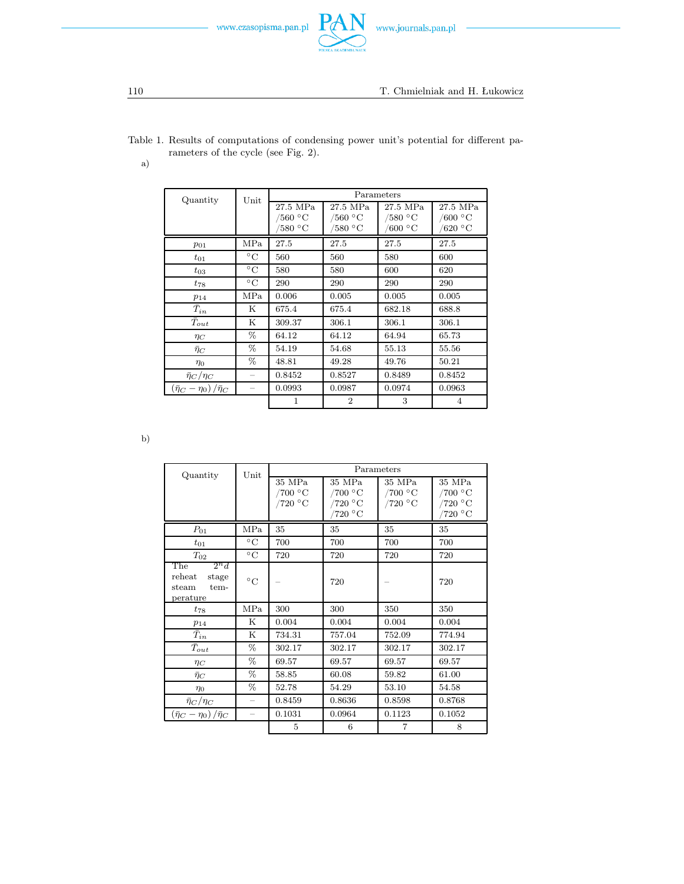



Table 1. Results of computations of condensing power unit's potential for different parameters of the cycle (see Fig. 2).

P

a)

| Quantity                                        | Unit            | Parameters       |                      |                                  |                           |  |
|-------------------------------------------------|-----------------|------------------|----------------------|----------------------------------|---------------------------|--|
|                                                 |                 | 27.5 MPa         | 27.5 MPa             | 27.5 MPa                         | 27.5 MPa                  |  |
|                                                 |                 | /560 $\degree$ C | /560 $\rm ^{\circ}C$ | $/580~^{\circ}\mathrm{C}$        | /600 $^{\circ}$ C         |  |
|                                                 |                 | '580 °C          | '580 °C              | $^{\circ}600~^{\circ}\mathrm{C}$ | $620\ {}^\circ\mathrm{C}$ |  |
| $p_{01}$                                        | MPa             | 27.5             | 27.5                 | 27.5                             | 27.5                      |  |
| $t_{01}$                                        | $^{\circ}C$     | 560              | 560                  | 580                              | 600                       |  |
| $t_{03}$                                        | $\rm ^{\circ}C$ | 580              | 580                  | 600                              | 620                       |  |
| $t_{78}$                                        | $^{\circ}C$     | 290              | 290                  | 290                              | 290                       |  |
| $p_{14}$                                        | MPa             | 0.006            | 0.005                | 0.005                            | 0.005                     |  |
| $\bar{T}_{in}$                                  | Κ               | 675.4            | 675.4                | 682.18                           | 688.8                     |  |
| $T_{out}$                                       | Κ               | 309.37           | 306.1                | 306.1                            | 306.1                     |  |
| $\eta_C$                                        | %               | 64.12            | 64.12                | 64.94                            | 65.73                     |  |
| $\bar{\eta}_C$                                  | %               | 54.19            | 54.68                | 55.13                            | 55.56                     |  |
| $\eta$ <sup>0</sup>                             | %               | 48.81            | 49.28                | 49.76                            | 50.21                     |  |
| $\bar{\eta}_C/\eta_C$                           |                 | 0.8452           | 0.8527               | 0.8489                           | 0.8452                    |  |
| $\left(\bar{\eta}_C-\eta_0\right)/\bar{\eta}_C$ |                 | 0.0993           | 0.0987               | 0.0974                           | 0.0963                    |  |
|                                                 |                 | 1                | $\overline{2}$       | 3                                | 4                         |  |

b)

| Quantity                                        | Unit                     | Parameters           |         |                             |         |
|-------------------------------------------------|--------------------------|----------------------|---------|-----------------------------|---------|
|                                                 |                          | 35 MPa               | 35 MPa  | 35 MPa                      | 35 MPa  |
|                                                 |                          | /700 °C              | /700 °C | /700 $\rm ^{\circ}C$        | /700 °C |
|                                                 |                          | /720 $\rm ^{\circ}C$ | /720 °C | /720 $\,^{\circ}\mathrm{C}$ | /720 °C |
|                                                 |                          |                      | /720 °C |                             | ′720 °C |
| $P_{01}$                                        | MPa                      | 35                   | 35      | 35                          | 35      |
| $t_{01}$                                        | $\rm ^{\circ}C$          | 700                  | 700     | 700                         | 700     |
| $T_{02}$                                        | $^{\circ}$ C             | 720                  | 720     | 720                         | 720     |
| $2^n d$<br>The                                  |                          |                      |         |                             |         |
| reheat<br>stage                                 | $\circ$ C                |                      | 720     |                             | 720     |
| steam<br>tem-                                   |                          |                      |         |                             |         |
| perature                                        |                          |                      |         |                             |         |
| $t_{78}$                                        | MPa                      | 300                  | 300     | 350                         | 350     |
| $p_{14}$                                        | Κ                        | 0.004                | 0.004   | 0.004                       | 0.004   |
| $\bar{T}_{in}$                                  | Κ                        | 734.31               | 757.04  | 752.09                      | 774.94  |
| $T_{out}$                                       | %                        | 302.17               | 302.17  | 302.17                      | 302.17  |
| $\eta_C$                                        | %                        | 69.57                | 69.57   | 69.57                       | 69.57   |
| $\bar{\eta}_C$                                  | %                        | 58.85                | 60.08   | 59.82                       | 61.00   |
| $\eta_0$                                        | %                        | 52.78                | 54.29   | 53.10                       | 54.58   |
| $\bar{\eta}_C/\eta_C$                           | $-$                      | 0.8459               | 0.8636  | 0.8598                      | 0.8768  |
| $\left(\bar{\eta}_C-\eta_0\right)/\bar{\eta}_C$ | $\overline{\phantom{0}}$ | 0.1031               | 0.0964  | 0.1123                      | 0.1052  |
|                                                 |                          | 5                    | 6       | $\overline{7}$              | 8       |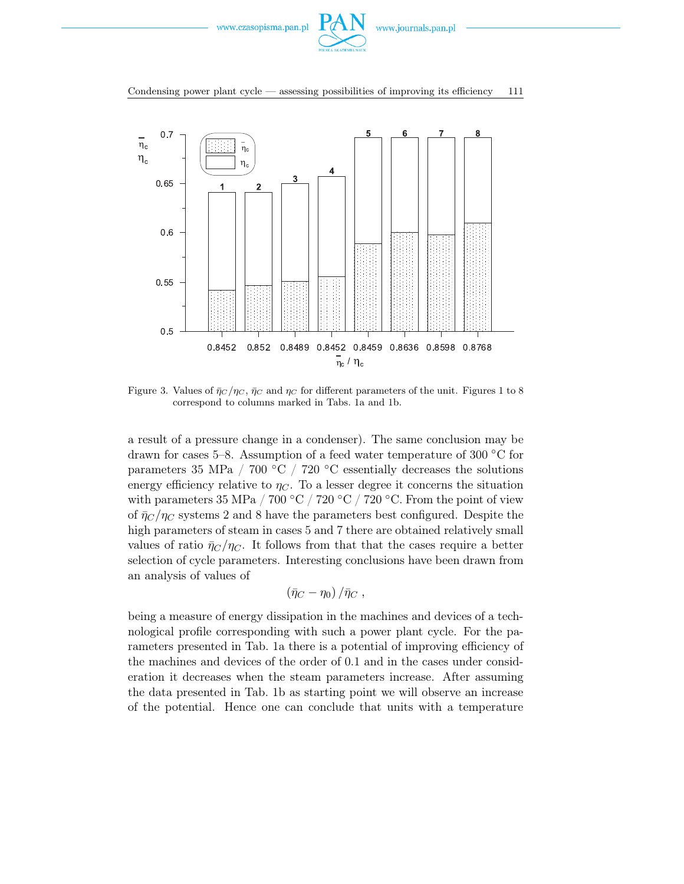

#### Condensing power plant cycle — assessing possibilities of improving its efficiency 111



Figure 3. Values of  $\bar{\eta}_C/\eta_C$ ,  $\bar{\eta}_C$  and  $\eta_C$  for different parameters of the unit. Figures 1 to 8 correspond to columns marked in Tabs. 1a and 1b.

a result of a pressure change in a condenser). The same conclusion may be drawn for cases 5–8. Assumption of a feed water temperature of 300 ◦C for parameters 35 MPa / 700 °C / 720 °C essentially decreases the solutions energy efficiency relative to  $\eta_C$ . To a lesser degree it concerns the situation with parameters 35 MPa / 700 °C / 720 °C / 720 °C. From the point of view of  $\bar{\eta}_C/\eta_C$  systems 2 and 8 have the parameters best configured. Despite the high parameters of steam in cases 5 and 7 there are obtained relatively small values of ratio  $\bar{\eta}_C/\eta_C$ . It follows from that that the cases require a better selection of cycle parameters. Interesting conclusions have been drawn from an analysis of values of

$$
\left(\bar{\eta}_C-\eta_0\right)/\bar{\eta}_C\ ,
$$

being a measure of energy dissipation in the machines and devices of a technological profile corresponding with such a power plant cycle. For the parameters presented in Tab. 1a there is a potential of improving efficiency of the machines and devices of the order of 0.1 and in the cases under consideration it decreases when the steam parameters increase. After assuming the data presented in Tab. 1b as starting point we will observe an increase of the potential. Hence one can conclude that units with a temperature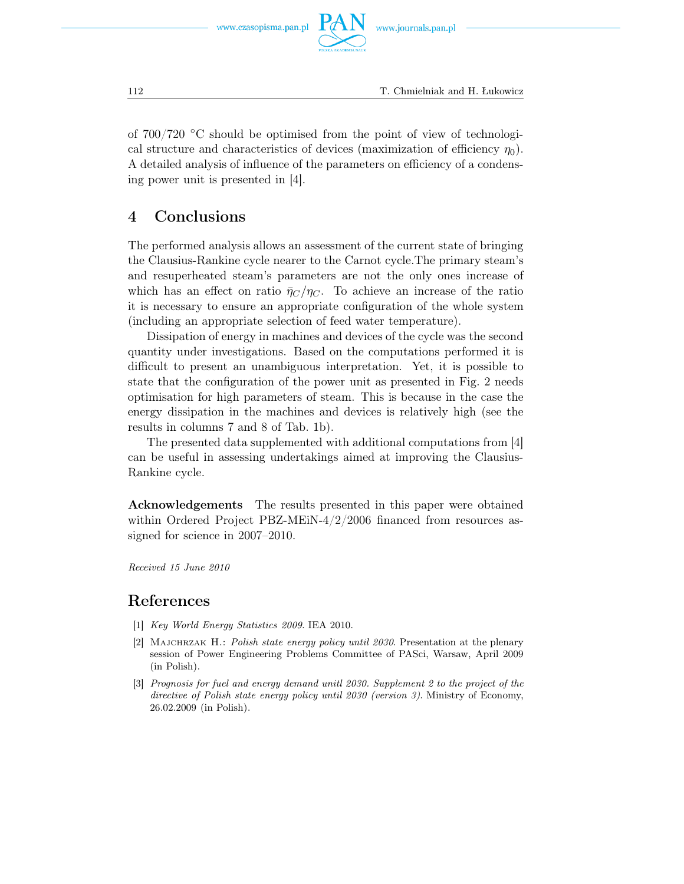www.czasopisma.pan.pl

of  $700/720$  °C should be optimised from the point of view of technological structure and characteristics of devices (maximization of efficiency  $\eta_0$ ). A detailed analysis of influence of the parameters on efficiency of a condensing power unit is presented in [4].

## 4 Conclusions

The performed analysis allows an assessment of the current state of bringing the Clausius-Rankine cycle nearer to the Carnot cycle.The primary steam's and resuperheated steam's parameters are not the only ones increase of which has an effect on ratio  $\bar{\eta}_C/\eta_C$ . To achieve an increase of the ratio it is necessary to ensure an appropriate configuration of the whole system (including an appropriate selection of feed water temperature).

Dissipation of energy in machines and devices of the cycle was the second quantity under investigations. Based on the computations performed it is difficult to present an unambiguous interpretation. Yet, it is possible to state that the configuration of the power unit as presented in Fig. 2 needs optimisation for high parameters of steam. This is because in the case the energy dissipation in the machines and devices is relatively high (see the results in columns 7 and 8 of Tab. 1b).

The presented data supplemented with additional computations from [4] can be useful in assessing undertakings aimed at improving the Clausius-Rankine cycle.

Acknowledgements The results presented in this paper were obtained within Ordered Project PBZ-MEiN-4/2/2006 financed from resources assigned for science in 2007–2010.

*Received 15 June 2010*

### References

- [1] *Key World Energy Statistics 2009*. IEA 2010.
- [2] Majchrzak H.: *Polish state energy policy until 2030*. Presentation at the plenary session of Power Engineering Problems Committee of PASci, Warsaw, April 2009 (in Polish).
- [3] *Prognosis for fuel and energy demand unitl 2030. Supplement 2 to the project of the directive of Polish state energy policy until 2030 (version 3)*. Ministry of Economy, 26.02.2009 (in Polish).